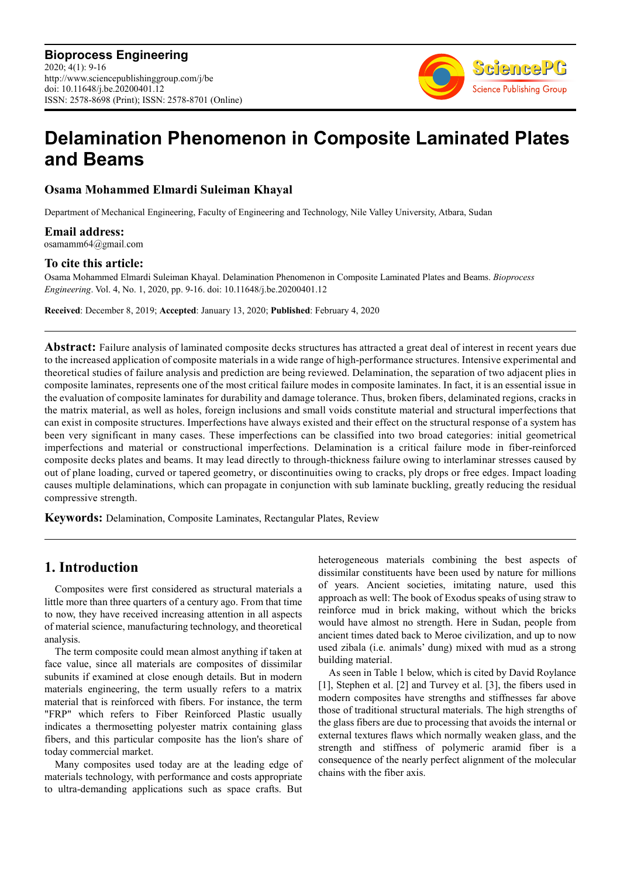

## **Delamination Phenomenon in Composite Laminated Plates and Beams**

## **Osama Mohammed Elmardi Suleiman Khayal**

Department of Mechanical Engineering, Faculty of Engineering and Technology, Nile Valley University, Atbara, Sudan

# **Email address:**<br>osamamm64@gmail.com

### **To cite this article:**

Osama Mohammed Elmardi Suleiman Khayal. Delamination Phenomenon in Composite Laminated Plates and Beams. *Bioprocess Engineering*. Vol. 4, No. 1, 2020, pp. 9-16. doi: 10.11648/j.be.20200401.12

**Received**: December 8, 2019; **Accepted**: January 13, 2020; **Published**: February 4, 2020

**Abstract:** Failure analysis of laminated composite decks structures has attracted a great deal of interest in recent years due to the increased application of composite materials in a wide range of high-performance structures. Intensive experimental and theoretical studies of failure analysis and prediction are being reviewed. Delamination, the separation of two adjacent plies in composite laminates, represents one of the most critical failure modes in composite laminates. In fact, it is an essential issue in the evaluation of composite laminates for durability and damage tolerance. Thus, broken fibers, delaminated regions, cracks in the matrix material, as well as holes, foreign inclusions and small voids constitute material and structural imperfections that can exist in composite structures. Imperfections have always existed and their effect on the structural response of a system has been very significant in many cases. These imperfections can be classified into two broad categories: initial geometrical imperfections and material or constructional imperfections. Delamination is a critical failure mode in fiber-reinforced composite decks plates and beams. It may lead directly to through-thickness failure owing to interlaminar stresses caused by out of plane loading, curved or tapered geometry, or discontinuities owing to cracks, ply drops or free edges. Impact loading causes multiple delaminations, which can propagate in conjunction with sub laminate buckling, greatly reducing the residual compressive strength.

**Keywords:** Delamination, Composite Laminates, Rectangular Plates, Review

## **1. Introduction**

Composites were first considered as structural materials a little more than three quarters of a century ago. From that time to now, they have received increasing attention in all aspects of material science, manufacturing technology, and theoretical analysis.

The term composite could mean almost anything if taken at face value, since all materials are composites of dissimilar subunits if examined at close enough details. But in modern materials engineering, the term usually refers to a matrix material that is reinforced with fibers. For instance, the term "FRP" which refers to Fiber Reinforced Plastic usually indicates a thermosetting polyester matrix containing glass fibers, and this particular composite has the lion's share of today commercial market.

Many composites used today are at the leading edge of materials technology, with performance and costs appropriate to ultra-demanding applications such as space crafts. But heterogeneous materials combining the best aspects of dissimilar constituents have been used by nature for millions of years. Ancient societies, imitating nature, used this approach as well: The book of Exodus speaks of using straw to reinforce mud in brick making, without which the bricks would have almost no strength. Here in Sudan, people from ancient times dated back to Meroe civilization, and up to now used zibala (i.e. animals' dung) mixed with mud as a strong building material.

As seen in Table 1 below, which is cited by David Roylance [1], Stephen et al. [2] and Turvey et al. [3], the fibers used in modern composites have strengths and stiffnesses far above those of traditional structural materials. The high strengths of the glass fibers are due to processing that avoids the internal or external textures flaws which normally weaken glass, and the strength and stiffness of polymeric aramid fiber is a consequence of the nearly perfect alignment of the molecular chains with the fiber axis.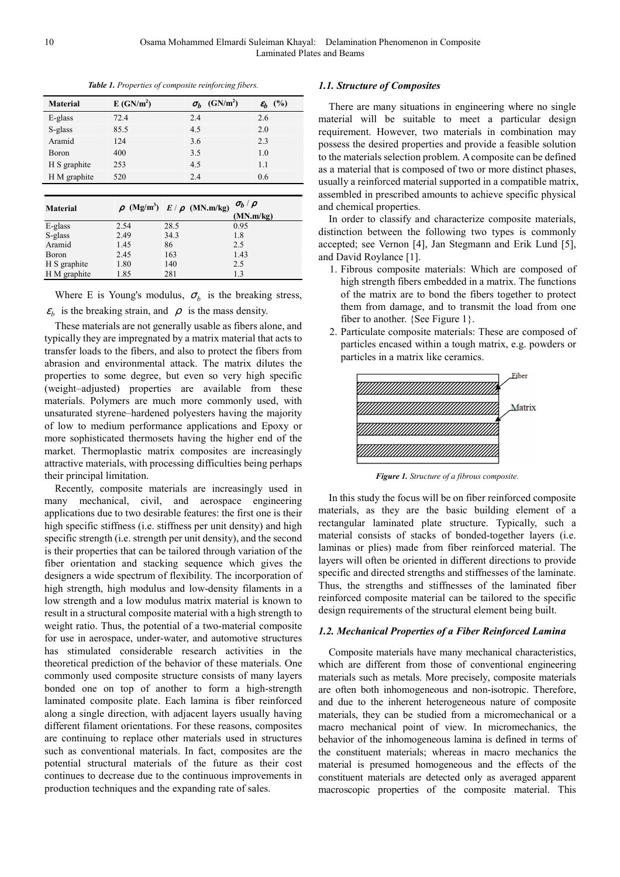*Table 1. Properties of composite reinforcing fibers.* 

| <b>Material</b> | E(GN/m <sup>2</sup> ) | $\sigma_b$ (GN/m <sup>2</sup> ) | (%)<br>$\varepsilon_{h}$ |
|-----------------|-----------------------|---------------------------------|--------------------------|
| E-glass         | 72.4                  | 2.4                             | 2.6                      |
| S-glass         | 85.5                  | 4.5                             | 2.0                      |
| Aramid          | 124                   | 3.6                             | 2.3                      |
| Boron           | 400                   | 3.5                             | 1.0                      |
| H S graphite    | 253                   | 4.5                             | 1.1                      |
| H M graphite    | 520                   | 2.4                             | 0.6                      |

| <b>Material</b> |      | $\rho$ (Mg/m <sup>3</sup> ) $E/\rho$ (MN.m/kg) | $\sigma_b/\rho$<br>(MN.m/kg) |
|-----------------|------|------------------------------------------------|------------------------------|
| E-glass         | 2.54 | 28.5                                           | 0.95                         |
| S-glass         | 2.49 | 34.3                                           | 1.8                          |
| Aramid          | 1.45 | 86                                             | 2.5                          |
| <b>Boron</b>    | 2.45 | 163                                            | 1.43                         |
| H S graphite    | 1.80 | 140                                            | 2.5                          |
| H M graphite    | 1.85 | 281                                            | 1.3                          |

Where E is Young's modulus,  $\sigma_b$  is the breaking stress,  $\varepsilon_b$  is the breaking strain, and  $\rho$  is the mass density.

These materials are not generally usable as fibers alone, and typically they are impregnated by a matrix material that acts to transfer loads to the fibers, and also to protect the fibers from abrasion and environmental attack. The matrix dilutes the properties to some degree, but even so very high specific (weight–adjusted) properties are available from these materials. Polymers are much more commonly used, with unsaturated styrene–hardened polyesters having the majority of low to medium performance applications and Epoxy or more sophisticated thermosets having the higher end of the market. Thermoplastic matrix composites are increasingly attractive materials, with processing difficulties being perhaps their principal limitation.

Recently, composite materials are increasingly used in many mechanical, civil, and aerospace engineering applications due to two desirable features: the first one is their high specific stiffness (i.e. stiffness per unit density) and high specific strength (i.e. strength per unit density), and the second is their properties that can be tailored through variation of the fiber orientation and stacking sequence which gives the designers a wide spectrum of flexibility. The incorporation of high strength, high modulus and low-density filaments in a low strength and a low modulus matrix material is known to result in a structural composite material with a high strength to weight ratio. Thus, the potential of a two-material composite for use in aerospace, under-water, and automotive structures has stimulated considerable research activities in the theoretical prediction of the behavior of these materials. One commonly used composite structure consists of many layers bonded one on top of another to form a high-strength laminated composite plate. Each lamina is fiber reinforced along a single direction, with adjacent layers usually having different filament orientations. For these reasons, composites are continuing to replace other materials used in structures such as conventional materials. In fact, composites are the potential structural materials of the future as their cost continues to decrease due to the continuous improvements in production techniques and the expanding rate of sales.

#### *1.1. Structure of Composites*

There are many situations in engineering where no single material will be suitable to meet a particular design requirement. However, two materials in combination may possess the desired properties and provide a feasible solution to the materials selection problem. A composite can be defined as a material that is composed of two or more distinct phases, usually a reinforced material supported in a compatible matrix, assembled in prescribed amounts to achieve specific physical and chemical properties.

In order to classify and characterize composite materials, distinction between the following two types is commonly accepted; see Vernon [4], Jan Stegmann and Erik Lund [5], and David Roylance [1].

- 1. Fibrous composite materials: Which are composed of high strength fibers embedded in a matrix. The functions of the matrix are to bond the fibers together to protect them from damage, and to transmit the load from one fiber to another. {See Figure 1}.
- 2. Particulate composite materials: These are composed of particles encased within a tough matrix, e.g. powders or particles in a matrix like ceramics.



*Figure 1. Structure of a fibrous composite.* 

In this study the focus will be on fiber reinforced composite materials, as they are the basic building element of a rectangular laminated plate structure. Typically, such a material consists of stacks of bonded-together layers (i.e. laminas or plies) made from fiber reinforced material. The layers will often be oriented in different directions to provide specific and directed strengths and stiffnesses of the laminate. Thus, the strengths and stiffnesses of the laminated fiber reinforced composite material can be tailored to the specific design requirements of the structural element being built.

#### *1.2. Mechanical Properties of a Fiber Reinforced Lamina*

Composite materials have many mechanical characteristics, which are different from those of conventional engineering materials such as metals. More precisely, composite materials are often both inhomogeneous and non-isotropic. Therefore, and due to the inherent heterogeneous nature of composite materials, they can be studied from a micromechanical or a macro mechanical point of view. In micromechanics, the behavior of the inhomogeneous lamina is defined in terms of the constituent materials; whereas in macro mechanics the material is presumed homogeneous and the effects of the constituent materials are detected only as averaged apparent macroscopic properties of the composite material. This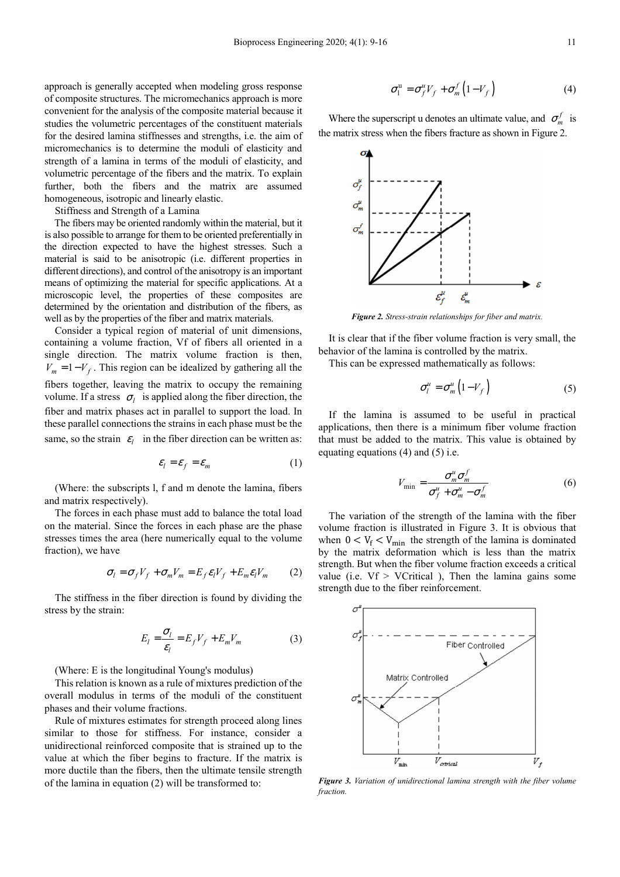approach is generally accepted when modeling gross response of composite structures. The micromechanics approach is more convenient for the analysis of the composite material because it studies the volumetric percentages of the constituent materials for the desired lamina stiffnesses and strengths, i.e. the aim of micromechanics is to determine the moduli of elasticity and strength of a lamina in terms of the moduli of elasticity, and volumetric percentage of the fibers and the matrix. To explain further, both the fibers and the matrix are assumed homogeneous, isotropic and linearly elastic.

Stiffness and Strength of a Lamina

The fibers may be oriented randomly within the material, but it is also possible to arrange for them to be oriented preferentially in the direction expected to have the highest stresses. Such a material is said to be anisotropic (i.e. different properties in different directions), and control of the anisotropy is an important means of optimizing the material for specific applications. At a microscopic level, the properties of these composites are determined by the orientation and distribution of the fibers, as well as by the properties of the fiber and matrix materials.

Consider a typical region of material of unit dimensions, containing a volume fraction, Vf of fibers all oriented in a single direction. The matrix volume fraction is then,  $V_m = 1 - V_f$ . This region can be idealized by gathering all the fibers together, leaving the matrix to occupy the remaining volume. If a stress  $\sigma_l$  is applied along the fiber direction, the fiber and matrix phases act in parallel to support the load. In these parallel connections the strains in each phase must be the same, so the strain  $\varepsilon_l$  in the fiber direction can be written as:

$$
\varepsilon_l = \varepsilon_f = \varepsilon_m \tag{1}
$$

(Where: the subscripts l, f and m denote the lamina, fibers and matrix respectively).

The forces in each phase must add to balance the total load on the material. Since the forces in each phase are the phase stresses times the area (here numerically equal to the volume fraction), we have

$$
\sigma_l = \sigma_f V_f + \sigma_m V_m = E_f \varepsilon_l V_f + E_m \varepsilon_l V_m \qquad (2)
$$

The stiffness in the fiber direction is found by dividing the stress by the strain:

$$
E_l = \frac{\sigma_l}{\varepsilon_l} = E_f V_f + E_m V_m \tag{3}
$$

(Where: E is the longitudinal Young's modulus)

This relation is known as a rule of mixtures prediction of the overall modulus in terms of the moduli of the constituent phases and their volume fractions.

Rule of mixtures estimates for strength proceed along lines similar to those for stiffness. For instance, consider a unidirectional reinforced composite that is strained up to the value at which the fiber begins to fracture. If the matrix is more ductile than the fibers, then the ultimate tensile strength of the lamina in equation (2) will be transformed to:

$$
\sigma_1^{\mathrm{u}} = \sigma_f^{\mathrm{u}} V_f + \sigma_m^f \left( 1 - V_f \right) \tag{4}
$$

Where the superscript u denotes an ultimate value, and  $\sigma_m^f$  is the matrix stress when the fibers fracture as shown in Figure 2.



*Figure 2. Stress-strain relationships for fiber and matrix.* 

It is clear that if the fiber volume fraction is very small, the behavior of the lamina is controlled by the matrix.

This can be expressed mathematically as follows:

$$
\sigma_l^u = \sigma_m^u \left( 1 - V_f \right) \tag{5}
$$

If the lamina is assumed to be useful in practical applications, then there is a minimum fiber volume fraction that must be added to the matrix. This value is obtained by equating equations (4) and (5) i.e.

$$
V_{\min} = \frac{\sigma_m^u \sigma_m^f}{\sigma_f^u + \sigma_m^u - \sigma_m^f}
$$
 (6)

The variation of the strength of the lamina with the fiber volume fraction is illustrated in Figure 3. It is obvious that when  $0 < V_f < V_{\text{min}}$  the strength of the lamina is dominated by the matrix deformation which is less than the matrix strength. But when the fiber volume fraction exceeds a critical value (i.e.  $Vf > VCritical$ ), Then the lamina gains some strength due to the fiber reinforcement.



*Figure 3. Variation of unidirectional lamina strength with the fiber volume fraction.*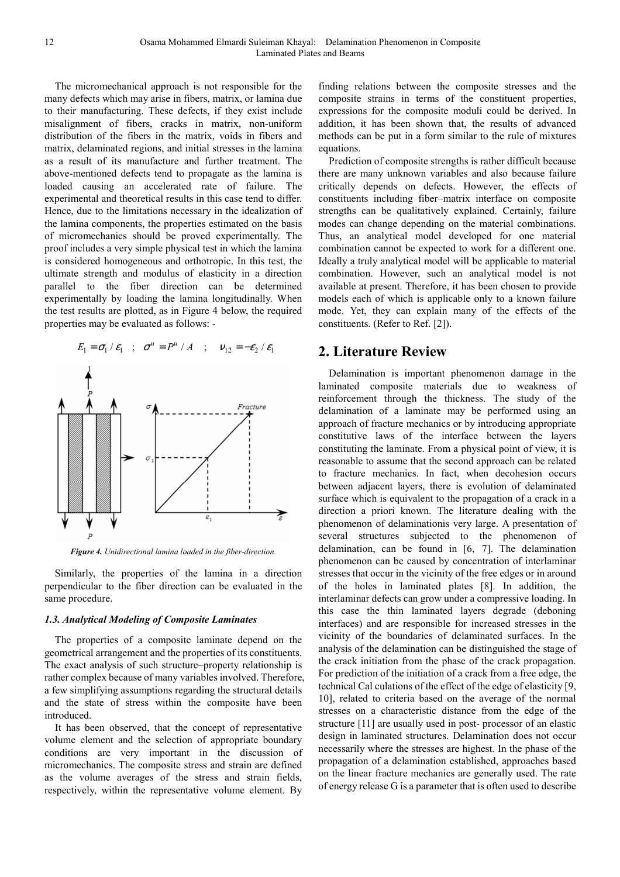The micromechanical approach is not responsible for the many defects which may arise in fibers, matrix, or lamina due to their manufacturing. These defects, if they exist include misalignment of fibers, cracks in matrix, non-uniform distribution of the fibers in the matrix, voids in fibers and matrix, delaminated regions, and initial stresses in the lamina as a result of its manufacture and further treatment. The above-mentioned defects tend to propagate as the lamina is loaded causing an accelerated rate of failure. The experimental and theoretical results in this case tend to differ. Hence, due to the limitations necessary in the idealization of the lamina components, the properties estimated on the basis of micromechanics should be proved experimentally. The proof includes a very simple physical test in which the lamina is considered homogeneous and orthotropic. In this test, the ultimate strength and modulus of elasticity in a direction parallel to the fiber direction can be determined experimentally by loading the lamina longitudinally. When the test results are plotted, as in Figure 4 below, the required properties may be evaluated as follows: -



*Figure 4. Unidirectional lamina loaded in the fiber-direction.*

Similarly, the properties of the lamina in a direction perpendicular to the fiber direction can be evaluated in the same procedure.

#### *1.3. Analytical Modeling of Composite Laminates*

The properties of a composite laminate depend on the geometrical arrangement and the properties of its constituents. The exact analysis of such structure–property relationship is rather complex because of many variables involved. Therefore, a few simplifying assumptions regarding the structural details and the state of stress within the composite have been introduced.

It has been observed, that the concept of representative volume element and the selection of appropriate boundary conditions are very important in the discussion of micromechanics. The composite stress and strain are defined as the volume averages of the stress and strain fields, respectively, within the representative volume element. By finding relations between the composite stresses and the composite strains in terms of the constituent properties, expressions for the composite moduli could be derived. In addition, it has been shown that, the results of advanced methods can be put in a form similar to the rule of mixtures equations.

Prediction of composite strengths is rather difficult because there are many unknown variables and also because failure critically depends on defects. However, the effects of constituents including fiber–matrix interface on composite strengths can be qualitatively explained. Certainly, failure modes can change depending on the material combinations. Thus, an analytical model developed for one material combination cannot be expected to work for a different one. Ideally a truly analytical model will be applicable to material combination. However, such an analytical model is not available at present. Therefore, it has been chosen to provide models each of which is applicable only to a known failure mode. Yet, they can explain many of the effects of the constituents. (Refer to Ref. [2]).

## **2. Literature Review**

Delamination is important phenomenon damage in the laminated composite materials due to weakness of reinforcement through the thickness. The study of the delamination of a laminate may be performed using an approach of fracture mechanics or by introducing appropriate constitutive laws of the interface between the layers constituting the laminate. From a physical point of view, it is reasonable to assume that the second approach can be related to fracture mechanics. In fact, when decohesion occurs between adjacent layers, there is evolution of delaminated surface which is equivalent to the propagation of a crack in a direction a priori known. The literature dealing with the phenomenon of delaminationis very large. A presentation of several structures subjected to the phenomenon of delamination, can be found in [6, 7]. The delamination phenomenon can be caused by concentration of interlaminar stresses that occur in the vicinity of the free edges or in around of the holes in laminated plates [8]. In addition, the interlaminar defects can grow under a compressive loading. In this case the thin laminated layers degrade (deboning interfaces) and are responsible for increased stresses in the vicinity of the boundaries of delaminated surfaces. In the analysis of the delamination can be distinguished the stage of the crack initiation from the phase of the crack propagation. For prediction of the initiation of a crack from a free edge, the technical Cal culations of the effect of the edge of elasticity [9, 10], related to criteria based on the average of the normal stresses on a characteristic distance from the edge of the structure [11] are usually used in post- processor of an elastic design in laminated structures. Delamination does not occur necessarily where the stresses are highest. In the phase of the propagation of a delamination established, approaches based on the linear fracture mechanics are generally used. The rate of energy release G is a parameter that is often used to describe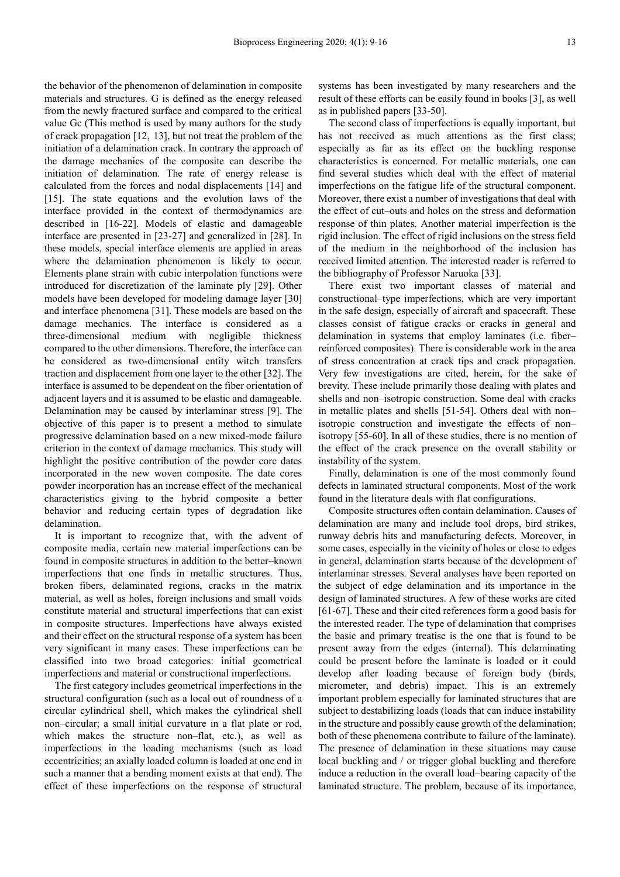the behavior of the phenomenon of delamination in composite materials and structures. G is defined as the energy released from the newly fractured surface and compared to the critical value Gc (This method is used by many authors for the study of crack propagation [12, 13], but not treat the problem of the initiation of a delamination crack. In contrary the approach of the damage mechanics of the composite can describe the initiation of delamination. The rate of energy release is calculated from the forces and nodal displacements [14] and [15]. The state equations and the evolution laws of the interface provided in the context of thermodynamics are described in [16-22]. Models of elastic and damageable interface are presented in [23-27] and generalized in [28]. In these models, special interface elements are applied in areas where the delamination phenomenon is likely to occur. Elements plane strain with cubic interpolation functions were introduced for discretization of the laminate ply [29]. Other models have been developed for modeling damage layer [30] and interface phenomena [31]. These models are based on the damage mechanics. The interface is considered as a three-dimensional medium with negligible thickness compared to the other dimensions. Therefore, the interface can be considered as two-dimensional entity witch transfers traction and displacement from one layer to the other [32]. The interface is assumed to be dependent on the fiber orientation of adjacent layers and it is assumed to be elastic and damageable. Delamination may be caused by interlaminar stress [9]. The objective of this paper is to present a method to simulate progressive delamination based on a new mixed-mode failure criterion in the context of damage mechanics. This study will highlight the positive contribution of the powder core dates incorporated in the new woven composite. The date cores powder incorporation has an increase effect of the mechanical characteristics giving to the hybrid composite a better behavior and reducing certain types of degradation like delamination.

It is important to recognize that, with the advent of composite media, certain new material imperfections can be found in composite structures in addition to the better–known imperfections that one finds in metallic structures. Thus, broken fibers, delaminated regions, cracks in the matrix material, as well as holes, foreign inclusions and small voids constitute material and structural imperfections that can exist in composite structures. Imperfections have always existed and their effect on the structural response of a system has been very significant in many cases. These imperfections can be classified into two broad categories: initial geometrical imperfections and material or constructional imperfections.

The first category includes geometrical imperfections in the structural configuration (such as a local out of roundness of a circular cylindrical shell, which makes the cylindrical shell non–circular; a small initial curvature in a flat plate or rod, which makes the structure non–flat, etc.), as well as imperfections in the loading mechanisms (such as load eccentricities; an axially loaded column is loaded at one end in such a manner that a bending moment exists at that end). The effect of these imperfections on the response of structural

systems has been investigated by many researchers and the result of these efforts can be easily found in books [3], as well as in published papers [33-50].

The second class of imperfections is equally important, but has not received as much attentions as the first class; especially as far as its effect on the buckling response characteristics is concerned. For metallic materials, one can find several studies which deal with the effect of material imperfections on the fatigue life of the structural component. Moreover, there exist a number of investigations that deal with the effect of cut–outs and holes on the stress and deformation response of thin plates. Another material imperfection is the rigid inclusion. The effect of rigid inclusions on the stress field of the medium in the neighborhood of the inclusion has received limited attention. The interested reader is referred to the bibliography of Professor Naruoka [33].

There exist two important classes of material and constructional–type imperfections, which are very important in the safe design, especially of aircraft and spacecraft. These classes consist of fatigue cracks or cracks in general and delamination in systems that employ laminates (i.e. fiber– reinforced composites). There is considerable work in the area of stress concentration at crack tips and crack propagation. Very few investigations are cited, herein, for the sake of brevity. These include primarily those dealing with plates and shells and non–isotropic construction. Some deal with cracks in metallic plates and shells [51-54]. Others deal with non– isotropic construction and investigate the effects of non– isotropy [55-60]. In all of these studies, there is no mention of the effect of the crack presence on the overall stability or instability of the system.

Finally, delamination is one of the most commonly found defects in laminated structural components. Most of the work found in the literature deals with flat configurations.

Composite structures often contain delamination. Causes of delamination are many and include tool drops, bird strikes, runway debris hits and manufacturing defects. Moreover, in some cases, especially in the vicinity of holes or close to edges in general, delamination starts because of the development of interlaminar stresses. Several analyses have been reported on the subject of edge delamination and its importance in the design of laminated structures. A few of these works are cited [61-67]. These and their cited references form a good basis for the interested reader. The type of delamination that comprises the basic and primary treatise is the one that is found to be present away from the edges (internal). This delaminating could be present before the laminate is loaded or it could develop after loading because of foreign body (birds, micrometer, and debris) impact. This is an extremely important problem especially for laminated structures that are subject to destabilizing loads (loads that can induce instability in the structure and possibly cause growth of the delamination; both of these phenomena contribute to failure of the laminate). The presence of delamination in these situations may cause local buckling and / or trigger global buckling and therefore induce a reduction in the overall load–bearing capacity of the laminated structure. The problem, because of its importance,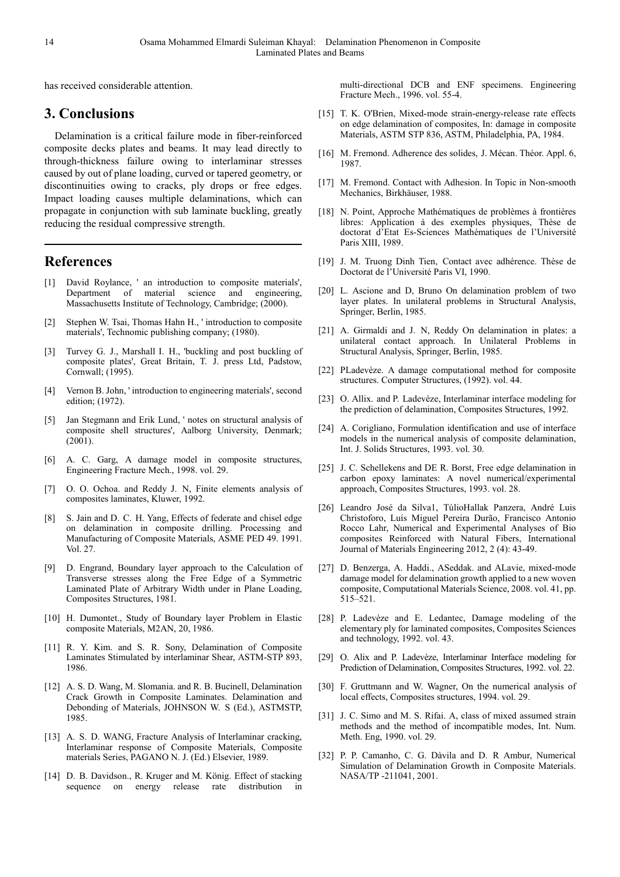has received considerable attention.

## **3. Conclusions**

Delamination is a critical failure mode in fiber-reinforced composite decks plates and beams. It may lead directly to through-thickness failure owing to interlaminar stresses caused by out of plane loading, curved or tapered geometry, or discontinuities owing to cracks, ply drops or free edges. Impact loading causes multiple delaminations, which can propagate in conjunction with sub laminate buckling, greatly reducing the residual compressive strength.

## **References**

- [1] David Roylance, ' an introduction to composite materials', Department of material science and engineering, Massachusetts Institute of Technology, Cambridge; (2000).
- [2] Stephen W. Tsai, Thomas Hahn H., ' introduction to composite materials', Technomic publishing company; (1980).
- [3] Turvey G. J., Marshall I. H., 'buckling and post buckling of composite plates', Great Britain, T. J. press Ltd, Padstow, Cornwall; (1995).
- [4] Vernon B. John, ' introduction to engineering materials', second edition; (1972).
- [5] Jan Stegmann and Erik Lund, ' notes on structural analysis of composite shell structures', Aalborg University, Denmark;  $(2001)$ .
- [6] A. C. Garg, A damage model in composite structures, Engineering Fracture Mech., 1998. vol. 29.
- [7] O. O. Ochoa. and Reddy J. N, Finite elements analysis of composites laminates, Kluwer, 1992.
- [8] S. Jain and D. C. H. Yang, Effects of federate and chisel edge on delamination in composite drilling. Processing and Manufacturing of Composite Materials, ASME PED 49. 1991. Vol. 27.
- [9] D. Engrand, Boundary layer approach to the Calculation of Transverse stresses along the Free Edge of a Symmetric Laminated Plate of Arbitrary Width under in Plane Loading, Composites Structures, 1981.
- [10] H. Dumontet., Study of Boundary layer Problem in Elastic composite Materials, M2AN, 20, 1986.
- [11] R. Y. Kim. and S. R. Sony, Delamination of Composite Laminates Stimulated by interlaminar Shear, ASTM-STP 893, 1986.
- [12] A. S. D. Wang, M. Slomania. and R. B. Bucinell, Delamination Crack Growth in Composite Laminates. Delamination and Debonding of Materials, JOHNSON W. S (Ed.), ASTMSTP, 1985.
- [13] A. S. D. WANG, Fracture Analysis of Interlaminar cracking, Interlaminar response of Composite Materials, Composite materials Series, PAGANO N. J. (Ed.) Elsevier, 1989.
- [14] D. B. Davidson., R. Kruger and M. König. Effect of stacking sequence on energy release rate distribution in

multi-directional DCB and ENF specimens. Engineering Fracture Mech., 1996. vol. 55-4.

- [15] T. K. O'Brien, Mixed-mode strain-energy-release rate effects on edge delamination of composites, In: damage in composite Materials, ASTM STP 836, ASTM, Philadelphia, PA, 1984.
- [16] M. Fremond. Adherence des solides, J. Mécan. Théor. Appl. 6, 1987.
- [17] M. Fremond. Contact with Adhesion. In Topic in Non-smooth Mechanics, Birkhäuser, 1988.
- [18] N. Point, Approche Mathématiques de problèmes à frontières libres: Application à des exemples physiques, Thèse de doctorat d'Etat Es-Sciences Mathématiques de l'Université Paris XIII, 1989.
- [19] J. M. Truong Dinh Tien, Contact avec adhérence. Thèse de Doctorat de l'Université Paris VI, 1990.
- [20] L. Ascione and D, Bruno On delamination problem of two layer plates. In unilateral problems in Structural Analysis, Springer, Berlin, 1985.
- [21] A. Girmaldi and J. N, Reddy On delamination in plates: a unilateral contact approach. In Unilateral Problems in Structural Analysis, Springer, Berlin, 1985.
- [22] PLadevèze. A damage computational method for composite structures. Computer Structures, (1992). vol. 44.
- [23] O. Allix. and P. Ladevèze, Interlaminar interface modeling for the prediction of delamination, Composites Structures, 1992.
- [24] A. Corigliano, Formulation identification and use of interface models in the numerical analysis of composite delamination, Int. J. Solids Structures, 1993. vol. 30.
- [25] J. C. Schellekens and DE R. Borst, Free edge delamination in carbon epoxy laminates: A novel numerical/experimental approach, Composites Structures, 1993. vol. 28.
- [26] Leandro José da Silva1, TúlioHallak Panzera, André Luis Christoforo, Luís Miguel Pereira Durão, Francisco Antonio Rocco Lahr, Numerical and Experimental Analyses of Bio composites Reinforced with Natural Fibers, International Journal of Materials Engineering 2012, 2 (4): 43-49.
- [27] D. Benzerga, A. Haddi., ASeddak. and ALavie, mixed-mode damage model for delamination growth applied to a new woven composite, Computational Materials Science, 2008. vol. 41, pp. 515–521.
- [28] P. Ladevèze and E. Ledantec, Damage modeling of the elementary ply for laminated composites, Composites Sciences and technology, 1992. vol. 43.
- [29] O. Alix and P. Ladevèze, Interlaminar Interface modeling for Prediction of Delamination, Composites Structures, 1992. vol. 22.
- [30] F. Gruttmann and W. Wagner, On the numerical analysis of local effects, Composites structures, 1994. vol. 29.
- [31] J. C. Simo and M. S. Rifai. A, class of mixed assumed strain methods and the method of incompatible modes, Int. Num. Meth. Eng, 1990. vol. 29.
- [32] P. P. Camanho, C. G. Dàvila and D. R Ambur, Numerical Simulation of Delamination Growth in Composite Materials. NASA/TP -211041, 2001.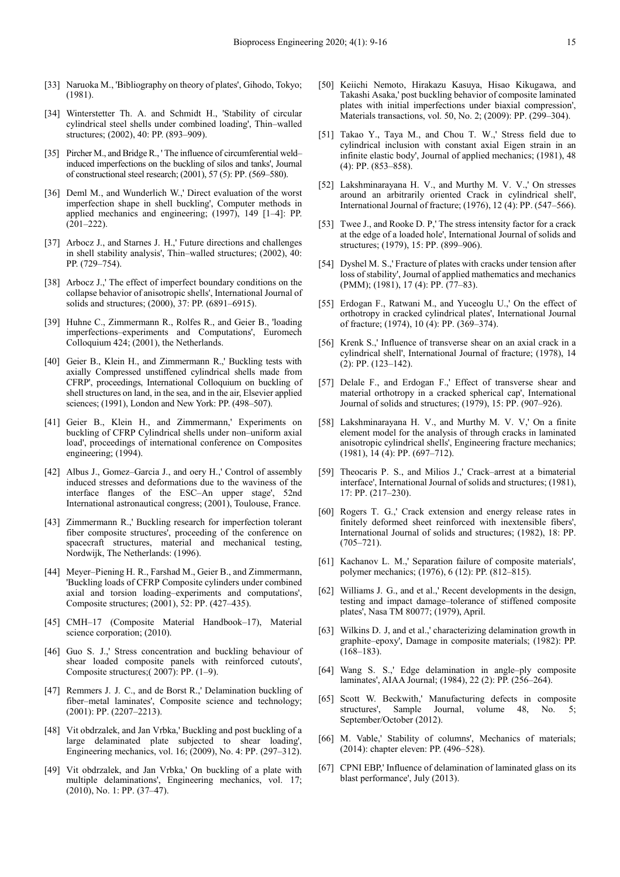- [33] Naruoka M., 'Bibliography on theory of plates', Gihodo, Tokyo; (1981).
- [34] Winterstetter Th. A. and Schmidt H., 'Stability of circular cylindrical steel shells under combined loading', Thin–walled structures; (2002), 40: PP. (893–909).
- [35] Pircher M., and Bridge R., 'The influence of circumferential weld– induced imperfections on the buckling of silos and tanks', Journal of constructional steel research; (2001), 57 (5): PP. (569–580).
- [36] Deml M., and Wunderlich W.,' Direct evaluation of the worst imperfection shape in shell buckling', Computer methods in applied mechanics and engineering; (1997), 149 [1–4]: PP. (201–222).
- [37] Arbocz J., and Starnes J. H.,' Future directions and challenges in shell stability analysis', Thin–walled structures; (2002), 40: PP. (729–754).
- [38] Arbocz J.,' The effect of imperfect boundary conditions on the collapse behavior of anisotropic shells', International Journal of solids and structures; (2000), 37: PP. (6891–6915).
- [39] Huhne C., Zimmermann R., Rolfes R., and Geier B., 'loading imperfections–experiments and Computations', Euromech Colloquium 424; (2001), the Netherlands.
- [40] Geier B., Klein H., and Zimmermann R.,' Buckling tests with axially Compressed unstiffened cylindrical shells made from CFRP', proceedings, International Colloquium on buckling of shell structures on land, in the sea, and in the air, Elsevier applied sciences; (1991), London and New York: PP. (498–507).
- [41] Geier B., Klein H., and Zimmermann,' Experiments on buckling of CFRP Cylindrical shells under non–uniform axial load', proceedings of international conference on Composites engineering; (1994).
- [42] Albus J., Gomez–Garcia J., and oery H.,' Control of assembly induced stresses and deformations due to the waviness of the interface flanges of the ESC–An upper stage', 52nd International astronautical congress; (2001), Toulouse, France.
- [43] Zimmermann R.,' Buckling research for imperfection tolerant fiber composite structures', proceeding of the conference on spacecraft structures, material and mechanical testing, Nordwijk, The Netherlands: (1996).
- [44] Meyer–Piening H. R., Farshad M., Geier B., and Zimmermann, 'Buckling loads of CFRP Composite cylinders under combined axial and torsion loading–experiments and computations', Composite structures; (2001), 52: PP. (427–435).
- [45] CMH–17 (Composite Material Handbook–17), Material science corporation; (2010).
- [46] Guo S. J.,' Stress concentration and buckling behaviour of shear loaded composite panels with reinforced cutouts', Composite structures;( 2007): PP. (1–9).
- [47] Remmers J. J. C., and de Borst R.,' Delamination buckling of fiber–metal laminates', Composite science and technology; (2001): PP. (2207–2213).
- [48] Vit obdrzalek, and Jan Vrbka,' Buckling and post buckling of a large delaminated plate subjected to shear loading', Engineering mechanics, vol. 16; (2009), No. 4: PP. (297–312).
- [49] Vit obdrzalek, and Jan Vrbka,' On buckling of a plate with multiple delaminations', Engineering mechanics, vol. 17; (2010), No. 1: PP. (37–47).
- [50] Keiichi Nemoto, Hirakazu Kasuya, Hisao Kikugawa, and Takashi Asaka,' post buckling behavior of composite laminated plates with initial imperfections under biaxial compression', Materials transactions, vol. 50, No. 2; (2009): PP. (299–304).
- [51] Takao Y., Taya M., and Chou T. W.,' Stress field due to cylindrical inclusion with constant axial Eigen strain in an infinite elastic body', Journal of applied mechanics; (1981), 48 (4): PP. (853–858).
- [52] Lakshminarayana H. V., and Murthy M. V. V.,' On stresses around an arbitrarily oriented Crack in cylindrical shell', International Journal of fracture; (1976), 12 (4): PP. (547–566).
- [53] Twee J., and Rooke D. P.' The stress intensity factor for a crack at the edge of a loaded hole', International Journal of solids and structures; (1979), 15: PP. (899–906).
- [54] Dyshel M. S.,' Fracture of plates with cracks under tension after loss of stability', Journal of applied mathematics and mechanics (PMM); (1981), 17 (4): PP. (77–83).
- [55] Erdogan F., Ratwani M., and Yuceoglu U.,' On the effect of orthotropy in cracked cylindrical plates', International Journal of fracture; (1974), 10 (4): PP. (369–374).
- [56] Krenk S.,' Influence of transverse shear on an axial crack in a cylindrical shell', International Journal of fracture; (1978), 14 (2): PP. (123–142).
- [57] Delale F., and Erdogan F.,' Effect of transverse shear and material orthotropy in a cracked spherical cap', International Journal of solids and structures; (1979), 15: PP. (907–926).
- [58] Lakshminarayana H. V., and Murthy M. V. V, On a finite element model for the analysis of through cracks in laminated anisotropic cylindrical shells', Engineering fracture mechanics; (1981), 14 (4): PP. (697–712).
- [59] Theocaris P. S., and Milios J.,' Crack–arrest at a bimaterial interface', International Journal of solids and structures; (1981), 17: PP. (217–230).
- [60] Rogers T. G.,' Crack extension and energy release rates in finitely deformed sheet reinforced with inextensible fibers', International Journal of solids and structures; (1982), 18: PP.  $(705 - 721)$ .
- [61] Kachanov L. M.,' Separation failure of composite materials', polymer mechanics; (1976), 6 (12): PP. (812–815).
- [62] Williams J. G., and et al.,' Recent developments in the design, testing and impact damage–tolerance of stiffened composite plates', Nasa TM 80077; (1979), April.
- [63] Wilkins D. J, and et al.,' characterizing delamination growth in graphite–epoxy', Damage in composite materials; (1982): PP.  $(168 - 183)$ .
- [64] Wang S. S.,' Edge delamination in angle–ply composite laminates', AIAA Journal; (1984), 22 (2): PP. (256–264).
- [65] Scott W. Beckwith,' Manufacturing defects in composite structures', Sample Journal, volume 48, No. 5; September/October (2012).
- [66] M. Vable,' Stability of columns', Mechanics of materials; (2014): chapter eleven: PP. (496–528).
- [67] CPNI EBP,' Influence of delamination of laminated glass on its blast performance', July (2013).